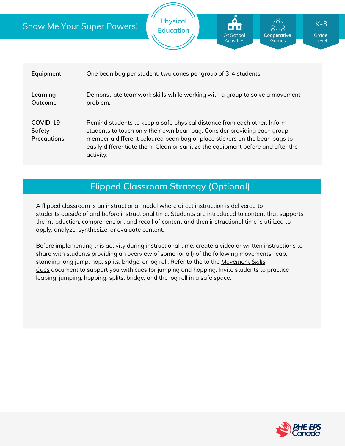## Show Me Your Super Powers!

| Equipment                         | One bean bag per student, two cones per group of 3-4 students                                                                                                                                                                                                                                                                      |
|-----------------------------------|------------------------------------------------------------------------------------------------------------------------------------------------------------------------------------------------------------------------------------------------------------------------------------------------------------------------------------|
| Learning<br>Outcome               | Demonstrate teamwork skills while working with a group to solve a movement<br>problem.                                                                                                                                                                                                                                             |
| COVID-19<br>Safety<br>Precautions | Remind students to keep a safe physical distance from each other. Inform<br>students to touch only their own bean bag. Consider providing each group<br>member a different coloured bean bag or place stickers on the bean bags to<br>easily differentiate them. Clean or sanitize the equipment before and after the<br>activity. |

**Physical Education**

# **Flipped Classroom Strategy (Optional)**

A flipped classroom is an instructional model where direct instruction is delivered to students *outside of* and *before* instructional time. Students are introduced to content that supports the introduction, comprehension, and recall of content and then instructional time is utilized to apply, analyze, synthesize, or evaluate content.

Before implementing this activity during instructional time, create a video or written instructions to share with students providing an overview of some (or all) of the following movements: leap, standing long jump, hop, splits, bridge, or log roll. Refer to the to the *[Movement](https://phecanada.ca/sites/default/files/content/docs/Home%20Learning%20Resource/Movement%20Cues/Movement%20Skills%20Cues%201.pdf) Skills Cues* document to support you with cues for jumping and hopping. Invite students to practice leaping, jumping, hopping, splits, bridge, and the log roll in a safe space.



**Grade** Level

K-**3**

**Cooperative Games**

At School Activities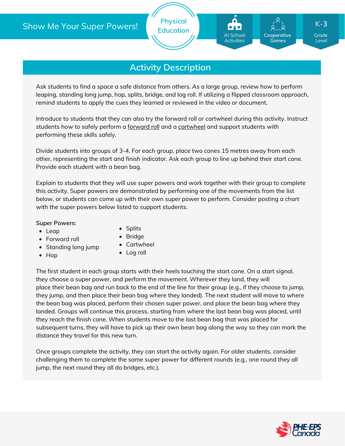# **Activity Description**

Ask students to find a space a safe distance from others. As a large group, review how to perform leaping, standing long jump, hop, splits, bridge, and log roll. If utilizing a flipped classroom approach, remind students to apply the cues they learned or reviewed in the video or document.

Introduce to students that they can also try the forward roll or cartwheel during this activity. Instruct students how to safely perform a [forward](https://www.wikihow.com/Do-a-Forward-Roll) roll and a [cartwheel](https://gymnasticshq.com/how-to-do-a-cartwheel/) and support students with performing these skills safely.

Divide students into groups of 3-4. For each group, place two cones 15 metres away from each other, representing the start and finish indicator. Ask each group to line up behind their start cone. Provide each student with a bean bag.

Explain to students that they will use super powers and work together with their group to complete this activity. Super powers are demonstrated by performing one of the movements from the list below, or students can come up with their own super power to perform. Consider posting a chart with the super powers below listed to support students.

#### **Super Powers:**

• Leap

- Splits • Bridge
- Forward roll
- Standing long jump
- $\bullet$  Hop
- Cartwheel
- Log roll

The first student in each group starts with their heels touching the start cone. On a start signal, they choose a super power, and perform the movement. Wherever they land, they will place their bean bag and run back to the end of the line for their group (e.g., if they choose to jump, they jump, and then place their bean bag where they landed). The next student will move to where the bean bag was placed, perform their chosen super power, and place the bean bag where they landed. Groups will continue this process, starting from where the last bean bag was placed, until they reach the finish cone. When students move to the last bean bag that was placed for subsequent turns, they will have to pick up their own bean bag along the way so they can mark the distance they travel for this new turn.

Once groups complete the activity, they can start the activity again. For older students, consider challenging them to complete the same super power for different rounds (e.g., one round they all jump, the next round they all do bridges, etc.).



Grade Level

K-**3**

**Cooperative Games**

At School Activities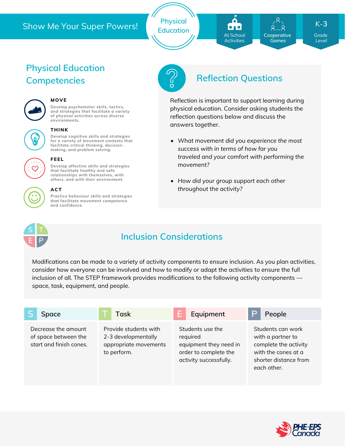## Show Me Your Super Powers!

**Physical Education**

At School **Activities** 

**Cooperative Games**

Grade K-**3**

Level

# **Physical Education**



## **MOVE**

**Develop psychomotor skills, tactics, and strategies that facilitate a variety of physical activities across diverse environments.**



#### **THINK**

**Develop cognitive skills and strategies for a variety of movement contexts that facilitate critical thinking, decision making, and problem solving.**



#### **FEEL**

**Develop affective skills and strategies that facilitate healthy and safe relationships with themselves, with others, and with their environment.**

#### **ACT**

**Practice behaviour skills and strategies that facilitate movement competence and confidence.**



# **Competencies Reflection Questions**

Reflection is important to support learning during physical education. Consider asking students the reflection questions below and discuss the answers together.

- *What movement did you experience the most success with in terms of how far you traveled and your comfort with performing the movement?*
- *How did your group support each other throughout the activity?*



## **Inclusion Considerations**

Modifications can be made to a variety of activity components to ensure inclusion. As you plan activities, consider how everyone can be involved and how to modify or adapt the activities to ensure the full inclusion of all. The STEP framework provides modifications to the following activity components space, task, equipment, and people.

| Space                                                                  | <b>Task</b>                                                                          | Equipment                                                                                                 | P<br>People                                                                                                                    |
|------------------------------------------------------------------------|--------------------------------------------------------------------------------------|-----------------------------------------------------------------------------------------------------------|--------------------------------------------------------------------------------------------------------------------------------|
| Decrease the amount<br>of space between the<br>start and finish cones. | Provide students with<br>2-3 developmentally<br>appropriate movements<br>to perform. | Students use the<br>required<br>equipment they need in<br>order to complete the<br>activity successfully. | Students can work<br>with a partner to<br>complete the activity<br>with the cones at a<br>shorter distance from<br>each other. |